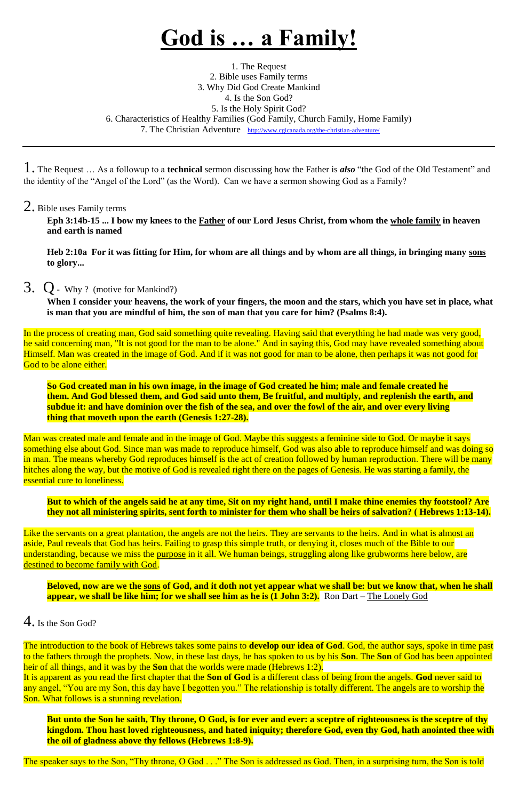# **God is … a Family!**

1. The Request 2. Bible uses Family terms 3. Why Did God Create Mankind 4. Is the Son God? 5. Is the Holy Spirit God? 6. Characteristics of Healthy Families (God Family, Church Family, Home Family) 7. The Christian Adventure <http://www.cgicanada.org/the-christian-adventure/>

1. The Request … As a followup to a **technical** sermon discussing how the Father is *also* "the God of the Old Testament" and the identity of the "Angel of the Lord" (as the Word). Can we have a sermon showing God as a Family?

In the process of creating man, God said something quite revealing. Having said that everything he had made was very good, he said concerning man, "It is not good for the man to be alone." And in saying this, God may have revealed something about Himself. Man was created in the image of God. And if it was not good for man to be alone, then perhaps it was not good for God to be alone either.

## 2. Bible uses Family terms

**Eph 3:14b-15 ... I bow my knees to the Father of our Lord Jesus Christ, from whom the whole family in heaven and earth is named**

**Heb 2:10a For it was fitting for Him, for whom are all things and by whom are all things, in bringing many sons to glory...**

## 3. Q- Why ? (motive for Mankind?)

**When I consider your heavens, the work of your fingers, the moon and the stars, which you have set in place, what is man that you are mindful of him, the son of man that you care for him? (Psalms 8:4).**

Man was created male and female and in the image of God. Maybe this suggests a feminine side to God. Or maybe it says something else about God. Since man was made to reproduce himself, God was also able to reproduce himself and was doing so in man. The means whereby God reproduces himself is the act of creation followed by human reproduction. There will be many hitches along the way, but the motive of God is revealed right there on the pages of Genesis. He was starting a family, the essential cure to loneliness.

The introduction to the book of Hebrews takes some pains to **develop our idea of God**. God, the author says, spoke in time past to the fathers through the prophets. Now, in these last days, he has spoken to us by his **Son**. The **Son** of God has been appointed heir of all things, and it was by the **Son** that the worlds were made (Hebrews 1:2). It is apparent as you read the first chapter that the **Son of God** is a different class of being from the angels. **God** never said to any angel, "You are my Son, this day have I begotten you." The relationship is totally different. The angels are to worship the Son. What follows is a stunning revelation.

**So God created man in his own image, in the image of God created he him; male and female created he them. And God blessed them, and God said unto them, Be fruitful, and multiply, and replenish the earth, and subdue it: and have dominion over the fish of the sea, and over the fowl of the air, and over every living thing that moveth upon the earth (Genesis 1:27-28).**

**But to which of the angels said he at any time, Sit on my right hand, until I make thine enemies thy footstool? Are they not all ministering spirits, sent forth to minister for them who shall be heirs of salvation? ( Hebrews 1:13-14).**

Like the servants on a great plantation, the angels are not the heirs. They are servants to the heirs. And in what is almost an aside, Paul reveals that God has heirs. Failing to grasp this simple truth, or denying it, closes much of the Bible to our understanding, because we miss the purpose in it all. We human beings, struggling along like grubworms here below, are destined to become family with God.

**Beloved, now are we the sons of God, and it doth not yet appear what we shall be: but we know that, when he shall** 

**appear, we shall be like him; for we shall see him as he is (1 John 3:2).** Ron Dart – The Lonely God

4. Is the Son God?

**But unto the Son he saith, Thy throne, O God, is for ever and ever: a sceptre of righteousness is the sceptre of thy kingdom. Thou hast loved righteousness, and hated iniquity; therefore God, even thy God, hath anointed thee with the oil of gladness above thy fellows (Hebrews 1:8-9).**

The speaker says to the Son, "Thy throne, O God . . ." The Son is addressed as God. Then, in a surprising turn, the Son is told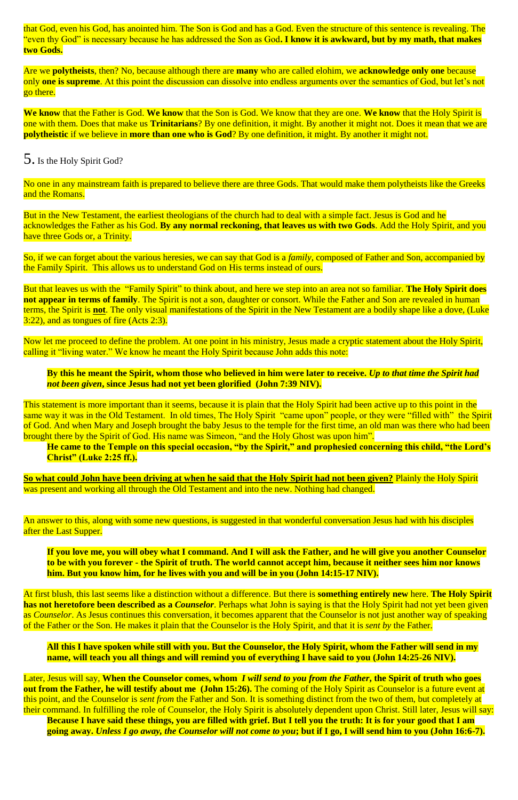that God, even his God, has anointed him. The Son is God and has a God. Even the structure of this sentence is revealing. The "even thy God" is necessary because he has addressed the Son as God**. I know it is awkward, but by my math, that makes two Gods.**

Are we **polytheists**, then? No, because although there are **many** who are called elohim, we **acknowledge only one** because only **one is supreme**. At this point the discussion can dissolve into endless arguments over the semantics of God, but let's not go there.

No one in any mainstream faith is prepared to believe there are three Gods. That would make them polytheists like the Greeks and the Romans.

But in the New Testament, the earliest theologians of the church had to deal with a simple fact. Jesus is God and he acknowledges the Father as his God. **By any normal reckoning, that leaves us with two Gods**. Add the Holy Spirit, and you have three Gods or, a Trinity.

**We know** that the Father is God. **We know** that the Son is God. We know that they are one. **We know** that the Holy Spirit is one with them. Does that make us **Trinitarians**? By one definition, it might. By another it might not. Does it mean that we are **polytheistic** if we believe in **more than one who is God**? By one definition, it might. By another it might not.

## 5. Is the Holy Spirit God?

This statement is more important than it seems, because it is plain that the Holy Spirit had been active up to this point in the same way it was in the Old Testament. In old times, The Holy Spirit "came upon" people, or they were "filled with" the Spirit of God. And when Mary and Joseph brought the baby Jesus to the temple for the first time, an old man was there who had been brought there by the Spirit of God. His name was Simeon, "and the Holy Ghost was upon him".

So, if we can forget about the various heresies, we can say that God is a *family*, composed of Father and Son, accompanied by the Family Spirit. This allows us to understand God on His terms instead of ours.

**So what could John have been driving at when he said that the Holy Spirit had not been given?** Plainly the Holy Spirit was present and working all through the Old Testament and into the new. Nothing had changed.

An answer to this, along with some new questions, is suggested in that wonderful conversation Jesus had with his disciples after the Last Supper.

But that leaves us with the "Family Spirit" to think about, and here we step into an area not so familiar. **The Holy Spirit does not appear in terms of family**. The Spirit is not a son, daughter or consort. While the Father and Son are revealed in human terms, the Spirit is **not**. The only visual manifestations of the Spirit in the New Testament are a bodily shape like a dove, (Luke 3:22), and as tongues of fire (Acts 2:3).

Now let me proceed to define the problem. At one point in his ministry, Jesus made a cryptic statement about the Holy Spirit, calling it "living water." We know he meant the Holy Spirit because John adds this note:

#### **By this he meant the Spirit, whom those who believed in him were later to receive.** *Up to that time the Spirit had not been given***, since Jesus had not yet been glorified (John 7:39 NIV).**

#### **He came to the Temple on this special occasion, "by the Spirit," and prophesied concerning this child, "the Lord's Christ" (Luke 2:25 ff.).**

**If you love me, you will obey what I command. And I will ask the Father, and he will give you another Counselor to be with you forever - the Spirit of truth. The world cannot accept him, because it neither sees him nor knows him. But you know him, for he lives with you and will be in you (John 14:15-17 NIV).**

At first blush, this last seems like a distinction without a difference. But there is **something entirely new** here. **The Holy Spirit has not heretofore been described as a** *Counselor*. Perhaps what John is saying is that the Holy Spirit had not yet been given as *Counselor*. As Jesus continues this conversation, it becomes apparent that the Counselor is not just another way of speaking of the Father or the Son. He makes it plain that the Counselor is the Holy Spirit, and that it is *sent by* the Father.

**All this I have spoken while still with you. But the Counselor, the Holy Spirit, whom the Father will send in my name, will teach you all things and will remind you of everything I have said to you (John 14:25-26 NIV).**

Later, Jesus will say, **When the Counselor comes, whom** *I will send to you from the Father***, the Spirit of truth who goes out from the Father, he will testify about me (John 15:26).** The coming of the Holy Spirit as Counselor is a future event at this point, and the Counselor is *sent from* the Father and Son. It is something distinct from the two of them, but completely at their command. In fulfilling the role of Counselor, the Holy Spirit is absolutely dependent upon Christ. Still later, Jesus will say: **Because I have said these things, you are filled with grief. But I tell you the truth: It is for your good that I am going away.** *Unless I go away, the Counselor will not come to you***; but if I go, I will send him to you (John 16:6-7).**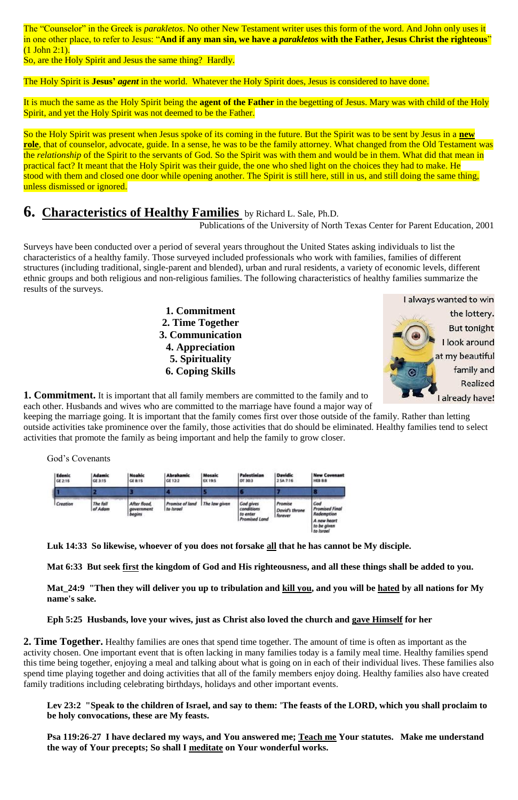The "Counselor" in the Greek is *parakletos*. No other New Testament writer uses this form of the word. And John only uses it in one other place, to refer to Jesus: "**And if any man sin, we have a** *parakletos* **with the Father, Jesus Christ the righteous**" (1 John 2:1).

So, are the Holy Spirit and Jesus the same thing? Hardly.

The Holy Spirit is **Jesus'** *agent* in the world. Whatever the Holy Spirit does, Jesus is considered to have done.

It is much the same as the Holy Spirit being the **agent of the Father** in the begetting of Jesus. Mary was with child of the Holy Spirit, and yet the Holy Spirit was not deemed to be the Father.

So the Holy Spirit was present when Jesus spoke of its coming in the future. But the Spirit was to be sent by Jesus in a **new role**, that of counselor, advocate, guide. In a sense, he was to be the family attorney. What changed from the Old Testament was the *relationship* of the Spirit to the servants of God. So the Spirit was with them and would be in them. What did that mean in practical fact? It meant that the Holy Spirit was their guide, the one who shed light on the choices they had to make. He stood with them and closed one door while opening another. The Spirit is still here, still in us, and still doing the same thing, unless dismissed or ignored.

# **6. Characteristics of Healthy Families** by Richard L. Sale, Ph.D.

Publications of the University of North Texas Center for Parent Education, 2001

Surveys have been conducted over a period of several years throughout the United States asking individuals to list the characteristics of a healthy family. Those surveyed included professionals who work with families, families of different structures (including traditional, single-parent and blended), urban and rural residents, a variety of economic levels, different ethnic groups and both religious and non-religious families. The following characteristics of healthy families summarize the results of the surveys.

> **1. Commitment 2. Time Together 3. Communication 4. Appreciation 5. Spirituality 6. Coping Skills**



**1. Commitment.** It is important that all family members are committed to the family and to each other. Husbands and wives who are committed to the marriage have found a major way of

keeping the marriage going. It is important that the family comes first over those outside of the family. Rather than letting outside activities take prominence over the family, those activities that do should be eliminated. Healthy families tend to select activities that promote the family as being important and help the family to grow closer.

God's Covenants

| <b>Edenic</b><br>GE 2:16 | <b>Adamic</b><br>GE 3:15 | Noahic<br>GE 8:15                    | Abrahamic<br>GE 12-2         | Mosaic<br>EX 19:5 | Palestinian<br>DT 30:3                                      | <b>Davidic</b><br>2 SA 7-16          | <b>New Covenant</b><br><b>HEB 8:8</b>                                                 |
|--------------------------|--------------------------|--------------------------------------|------------------------------|-------------------|-------------------------------------------------------------|--------------------------------------|---------------------------------------------------------------------------------------|
|                          |                          |                                      |                              |                   |                                                             |                                      | r.                                                                                    |
| Creation                 | The fall<br>of Adam      | After flood.<br>government<br>beains | Promise of land<br>to Israel | The law given     | God gives<br>conditions<br>to enter<br><b>Promised Land</b> | Promise<br>David's throne<br>forever | God<br><b>Promised Final</b><br>Redemption<br>A new heart<br>to be given<br>to Israel |

**Luk 14:33 So likewise, whoever of you does not forsake all that he has cannot be My disciple.**

**Mat 6:33 But seek first the kingdom of God and His righteousness, and all these things shall be added to you.**

**Mat\_24:9 "Then they will deliver you up to tribulation and kill you, and you will be hated by all nations for My name's sake.**

**Eph 5:25 Husbands, love your wives, just as Christ also loved the church and gave Himself for her**

**2. Time Together.** Healthy families are ones that spend time together. The amount of time is often as important as the activity chosen. One important event that is often lacking in many families today is a family meal time. Healthy families spend this time being together, enjoying a meal and talking about what is going on in each of their individual lives. These families also spend time playing together and doing activities that all of the family members enjoy doing. Healthy families also have created family traditions including celebrating birthdays, holidays and other important events.

**Lev 23:2 "Speak to the children of Israel, and say to them: 'The feasts of the LORD, which you shall proclaim to be holy convocations, these are My feasts.**

**Psa 119:26-27 I have declared my ways, and You answered me; Teach me Your statutes. Make me understand the way of Your precepts; So shall I meditate on Your wonderful works.**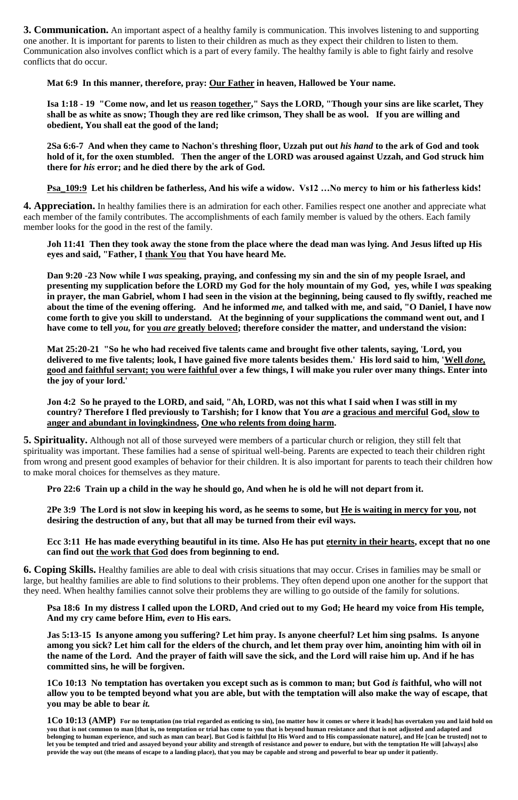**3. Communication.** An important aspect of a healthy family is communication. This involves listening to and supporting one another. It is important for parents to listen to their children as much as they expect their children to listen to them. Communication also involves conflict which is a part of every family. The healthy family is able to fight fairly and resolve conflicts that do occur.

**Mat 6:9 In this manner, therefore, pray: Our Father in heaven, Hallowed be Your name.**

**Isa 1:18 - 19 "Come now, and let us reason together," Says the LORD, "Though your sins are like scarlet, They shall be as white as snow; Though they are red like crimson, They shall be as wool. If you are willing and obedient, You shall eat the good of the land;**

**2Sa 6:6-7 And when they came to Nachon's threshing floor, Uzzah put out** *his hand* **to the ark of God and took hold of it, for the oxen stumbled. Then the anger of the LORD was aroused against Uzzah, and God struck him there for** *his* **error; and he died there by the ark of God.** 

**Psa\_109:9 Let his children be fatherless, And his wife a widow. Vs12 …No mercy to him or his fatherless kids!** 

**4. Appreciation.** In healthy families there is an admiration for each other. Families respect one another and appreciate what each member of the family contributes. The accomplishments of each family member is valued by the others. Each family member looks for the good in the rest of the family.

**Joh 11:41 Then they took away the stone from the place where the dead man was lying. And Jesus lifted up His eyes and said, "Father, I thank You that You have heard Me.**

**Dan 9:20 -23 Now while I** *was* **speaking, praying, and confessing my sin and the sin of my people Israel, and presenting my supplication before the LORD my God for the holy mountain of my God, yes, while I** *was* **speaking in prayer, the man Gabriel, whom I had seen in the vision at the beginning, being caused to fly swiftly, reached me about the time of the evening offering. And he informed** *me,* **and talked with me, and said, "O Daniel, I have now come forth to give you skill to understand. At the beginning of your supplications the command went out, and I have come to tell** *you,* **for you** *are* **greatly beloved; therefore consider the matter, and understand the vision:** 

**Mat 25:20-21 "So he who had received five talents came and brought five other talents, saying, 'Lord, you delivered to me five talents; look, I have gained five more talents besides them.' His lord said to him, 'Well** *done,* **good and faithful servant; you were faithful over a few things, I will make you ruler over many things. Enter into the joy of your lord.'** 

**Jon 4:2 So he prayed to the LORD, and said, "Ah, LORD, was not this what I said when I was still in my country? Therefore I fled previously to Tarshish; for I know that You** *are* **a gracious and merciful God, slow to anger and abundant in lovingkindness, One who relents from doing harm.** 

**5. Spirituality.** Although not all of those surveyed were members of a particular church or religion, they still felt that spirituality was important. These families had a sense of spiritual well-being. Parents are expected to teach their children right from wrong and present good examples of behavior for their children. It is also important for parents to teach their children how to make moral choices for themselves as they mature.

**Pro 22:6 Train up a child in the way he should go, And when he is old he will not depart from it.** 

**2Pe 3:9 The Lord is not slow in keeping his word, as he seems to some, but He is waiting in mercy for you, not desiring the destruction of any, but that all may be turned from their evil ways.** 

**Ecc 3:11 He has made everything beautiful in its time. Also He has put eternity in their hearts, except that no one can find out the work that God does from beginning to end.** 

**6. Coping Skills.** Healthy families are able to deal with crisis situations that may occur. Crises in families may be small or large, but healthy families are able to find solutions to their problems. They often depend upon one another for the support that

they need. When healthy families cannot solve their problems they are willing to go outside of the family for solutions.

**Psa 18:6 In my distress I called upon the LORD, And cried out to my God; He heard my voice from His temple, And my cry came before Him,** *even* **to His ears.** 

**Jas 5:13-15 Is anyone among you suffering? Let him pray. Is anyone cheerful? Let him sing psalms. Is anyone among you sick? Let him call for the elders of the church, and let them pray over him, anointing him with oil in the name of the Lord. And the prayer of faith will save the sick, and the Lord will raise him up. And if he has committed sins, he will be forgiven.** 

**1Co 10:13 No temptation has overtaken you except such as is common to man; but God** *is* **faithful, who will not allow you to be tempted beyond what you are able, but with the temptation will also make the way of escape, that you may be able to bear** *it.*

**1Co 10:13 (AMP) For no temptation (no trial regarded as enticing to sin), [no matter how it comes or where it leads] has overtaken you and laid hold on you that is not common to man [that is, no temptation or trial has come to you that is beyond human resistance and that is not adjusted and adapted and belonging to human experience, and such as man can bear]. But God is faithful [to His Word and to His compassionate nature], and He [can be trusted] not to let you be tempted and tried and assayed beyond your ability and strength of resistance and power to endure, but with the temptation He will [always] also provide the way out (the means of escape to a landing place), that you may be capable and strong and powerful to bear up under it patiently.**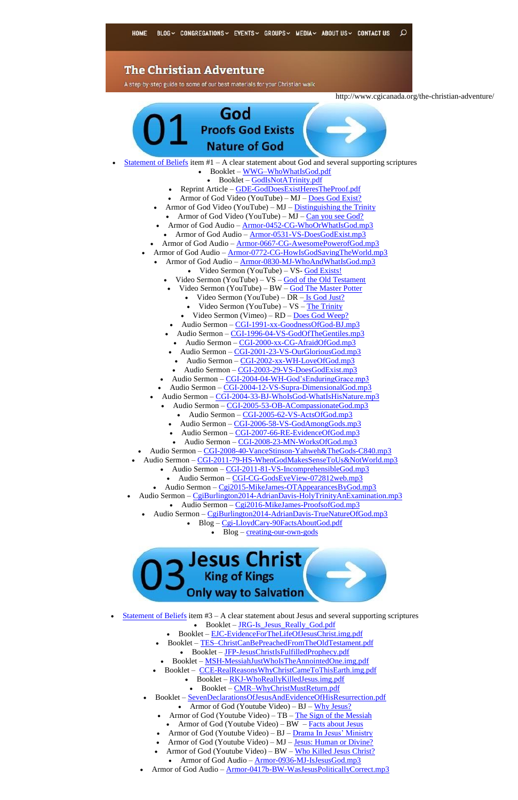### **The Christian Adventure**

A step-by-step guide to some of our best materials for your Christian walk

http://www.cgicanada.org/the-christian-adventure/



- Armor of God Video (YouTube)  $MJ Distinguishing$  the Trinity
	- Armor of God Video (YouTube) MJ  $Can$  you see God?
- Armor of God Audio [Armor-0452-CG-WhoOrWhatIsGod.mp3](http://www.cgicanada.org/media/armor/2004/Armor-0452-CG-WhoOrWhatIsGod.mp3)
	- Armor of God Audio [Armor-0531-VS-DoesGodExist.mp3](http://www.cgicanada.org/media/armor/2005/Armor-0531-VS-DoesGodExist.mp3)
- Armor of God Audio [Armor-0667-CG-AwesomePowerofGod.mp3](http://www.cgicanada.org/media/armor/2006/Armor-0667-CG-AwesomePowerofGod.mp3)
- Armor of God Audio [Armor-0772-CG-HowIsGodSavingTheWorld.mp3](http://www.cgicanada.org/media/armor/2007/Armor-0772-CG-HowIsGodSavingTheWorld.mp3)
	- Armor of God Audio [Armor-0830-MJ-WhoAndWhatIsGod.mp3](http://www.cgicanada.org/media/armor/2008/Armor-0830-MJ-WhoAndWhatIsGod.mp3)
		- Video Sermon (YouTube) VS- [God Exists!](https://youtu.be/7uuXypsh2JQ)
		- Video Sermon (YouTube)  $VS God$  of the Old Testament
		- Video Sermon (YouTube) BW [God The Master Potter](https://youtu.be/Z46855LTz3A)
			- Video Sermon (YouTube) DR [Is God Just?](https://youtu.be/qQQJMqXjOAY)
			- Video Sermon (YouTube) VS [The Trinity](https://youtu.be/3Og00G-Ggyw)
			- Video Sermon (Vimeo) RD [Does God Weep?](https://vimeo.com/91964468)
			- Audio Sermon [CGI-1991-xx-GoodnessOfGod-BJ.mp3](http://www.cgicanada.org/media/sermons/1970-2002/Bronson-1970-2002/CGI-1991-xx-GoodnessOfGod-BJ.mp3)
		- Audio Sermon [CGI-1996-04-VS-GodOfTheGentiles.mp3](http://www.cgicanada.org/media/sermons/1970-2002/Vance-1970-2002/CGI-1996-04-VS-GodOfTheGentiles.mp3)
			- Audio Sermon [CGI-2000-xx-CG-AfraidOfGod.mp3](http://www.cgicanada.org/media/sermons/1970-2002/Charles-1970-2002/CGI-2000-xx-CG-AfraidOfGod.mp3)
		- $\bullet$  Audio Sermon [CGI-2001-23-VS-OurGloriousGod.mp3](http://www.cgicanada.org/media/sermons/1970-2002/Vance-1970-2002/CGI-2001-23-VS-OurGloriousGod.mp3)
		- $\bullet$  Audio Sermon [CGI-2002-xx-WH-LoveOfGod.mp3](http://www.cgicanada.org/media/sermons/1970-2002/Wayne-1970-2002/CGI-2002-xx-WH-LoveOfGod.mp3)
		- Audio Sermon [CGI-2003-29-VS-DoesGodExist.mp3](http://www.cgicanada.org/media/sermons/2003/CGI-2003-29-VS-DoesGodExist.mp3)
		- Audio Sermon [CGI-2004-04-WH-God'sEnduringGrace.mp3](http://www.cgicanada.org/media/sermons/2004/CGI-2004-04-WH-God)
	- Audio Sermon [CGI-2004-12-VS-Supra-DimensionalGod.mp3](http://www.cgicanada.org/media/sermons/2004/CGI-2004-12-VS-Supra-DimensionalGod.mp3)
	- Audio Sermon [CGI-2004-33-BJ-WhoIsGod-WhatIsHisNature.mp3](http://www.cgicanada.org/media/sermons/2004/CGI-2004-33-BJ-WhoIsGod-WhatIsHisNature.mp3)
		- Audio Sermon [CGI-2005-53-OB-ACompassionateGod.mp3](http://www.cgicanada.org/media/sermons/2005/CGI-2005-53-OB-ACompassionateGod.mp3)
			- Audio Sermon [CGI-2005-62-VS-ActsOfGod.mp3](http://www.cgicanada.org/media/sermons/2005/CGI-2005-62-VS-ActsOfGod.mp3)
			- Audio Sermon [CGI-2006-58-VS-GodAmongGods.mp3](http://www.cgicanada.org/media/sermons/2006/CGI-2006-58-VS-GodAmongGods.mp3)
			- Audio Sermon [CGI-2007-66-RE-EvidenceOfGod.mp3](http://www.cgicanada.org/media/sermons/2007/CGI-2007-66-RE-EvidenceOfGod.mp3)
			- Audio Sermon [CGI-2008-23-MN-WorksOfGod.mp3](http://www.cgicanada.org/media/sermons/2008/CGI-2008-23-MN-WorksOfGod.mp3)
- Audio Sermon [CGI-2008-40-VanceStinson-Yahweh&TheGods-C840.mp3](http://www.cgicanada.org/media/sermons/2008/CGI-2008-40-VanceStinson-Yahweh&TheGods-C840.mp3)
- Audio Sermon [CGI-2011-79-HS-WhenGodMakesSenseToUs&NotWorld.mp3](http://www.cgicanada.org/media/sermons/2011/CGI-2011-79-HS-WhenGodMakesSenseToUs&NotWorld.mp3)
	- Audio Sermon [CGI-2011-81-VS-IncomprehensibleGod.mp3](http://www.cgicanada.org/media/sermons/2011/CGI-2011-81-VS-IncomprehensibleGod.mp3)
	- Audio Sermon [CGI-CG-GodsEyeView-072812web.mp3](http://www.cgicanada.org/media/sermons/2012/CGI-CG-GodsEyeView-072812web.mp3)
	- Audio Sermon [Cgi2015-MikeJames-OTAppearancesByGod.mp3](http://www.cgicanada.org/media/sermons/2015/Cgi2015-MikeJames-OTAppearancesByGod.mp3)
- Audio Sermon [CgiBurlington2014-AdrianDavis-HolyTrinityAnExamination.mp3](http://www.cgicanada.org/media/burlington/2014/CgiBurlington2014-AdrianDavis-HolyTrinityAnExamination.mp3)
	- Audio Sermon [Cgi2016-MikeJames-ProofsofGod.mp3](http://www.cgicanada.org/media/sermons/2016/Cgi2016-MikeJames-ProofsofGod.mp3)
	- Audio Sermon [CgiBurlington2014-AdrianDavis-TrueNatureOfGod.mp3](http://www.cgicanada.org/media/burlington/2014/CgiBurlington2014-AdrianDavis-TrueNatureOfGod.mp3)
		- Blog [Cgi-LloydCary-90FactsAboutGod.pdf](http://cgicanada.org/media/misc/Cgi-LloydCary-90FactsAboutGod.pdf)
			- $\bullet$  Blog [creating-our-own-gods](http://www.cgicanada.org/blog/creating-our-own-gods/)



- $\bullet$  [Statement of Beliefs](http://www.cgicanada.org/beliefs/) item #3 A clear statement about Jesus and several supporting scriptures
	- Booklet [JRG-Is\\_Jesus\\_Really\\_God.pdf](http://www.cgicanada.org/media/literature/pdf/JRG-Is_Jesus_Really_God.pdf)
	- Booklet [EJC-EvidenceForTheLifeOfJesusChrist.img.pdf](http://www.cgicanada.org/media/literature/img/EJC-EvidenceForTheLifeOfJesusChrist.img.pdf)
	- Booklet [TES–ChristCanBePreachedFromTheOldTestament.pdf](http://www.cgicanada.org/media/literature/pdf/TES--ChristCanBePreachedFromTheOldTestament.pdf)
		- Booklet [JFP-JesusChristIsFulfilledProphecy.pdf](http://www.cgicanada.org/media/literature/pdf/JFP-JesusChristIsFulfilledProphecy.pdf)
	- Booklet [MSH-MessiahJustWhoIsTheAnnointedOne.img.pdf](http://www.cgicanada.org/media/literature/img/MSH-MessiahJustWhoIsTheAnnointedOne.img.pdf)
	- Booklet [CCE-RealReasonsWhyChristCameToThisEarth.img.pdf](http://www.cgicanada.org/media/literature/img/CCE-RealReasonsWhyChristCameToThisEarth.img.pdf)
		- Booklet [RKJ-WhoReallyKilledJesus.img.pdf](http://www.cgicanada.org/media/literature/img/RKJ-WhoReallyKilledJesus.img.pdf)
		- Booklet [CMR–WhyChristMustReturn.pdf](http://www.cgicanada.org/media/literature/pdf/CMR--WhyChristMustReturn.pdf)
	- Booklet [SevenDeclarationsOfJesusAndEvidenceOfHisResurrection.pdf](http://www.cgicanada.org/media/literature/pdf/zzz-SevenDeclarationsOfJesusAndEvidenceOfHisResurrection.pdf)
		- Armor of God (Youtube Video) BJ [Why Jesus?](https://youtu.be/7I9C9zYM9bw)
		- Armor of God (Youtube Video) TB [The Sign of the Messiah](https://youtu.be/0UBFKMKhXPk)
			- Armor of God (Youtube Video) BW [Facts about Jesus](https://youtu.be/LIqMdwkxqr0)
		- Armor of God (Youtube Video) BJ [Drama In Jesus' Ministry](https://youtu.be/OSC9mtxbNWk)
		- Armor of God (Youtube Video) MJ [Jesus: Human or Divine?](https://youtu.be/z5pR30WgU8k)
		- Armor of God (Youtube Video) BW [Who Killed Jesus Christ?](https://youtu.be/4qHjoG6wzKY)
			- Armor of God Audio [Armor-0936-MJ-IsJesusGod.mp3](http://www.cgicanada.org/media/armor/2009/Armor-0936-MJ-IsJesusGod.mp3)
	- Armor of God Audio [Armor-0417b-BW-WasJesusPoliticallyCorrect.mp3](http://www.cgicanada.org/media/armor/2004/Armor-0417b-BW-WasJesusPoliticallyCorrect.mp3)